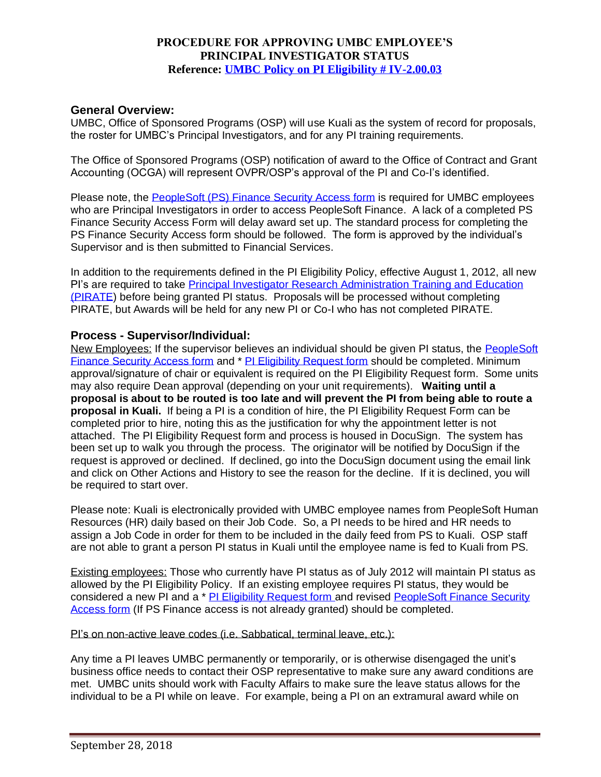# **PROCEDURE FOR APPROVING UMBC EMPLOYEE'S PRINCIPAL INVESTIGATOR STATUS Reference: [UMBC Policy on PI Eligibility # IV-2.00.03](http://www.umbc.edu/policies/)**

### **General Overview:**

UMBC, Office of Sponsored Programs (OSP) will use Kuali as the system of record for proposals, the roster for UMBC's Principal Investigators, and for any PI training requirements.

The Office of Sponsored Programs (OSP) notification of award to the Office of Contract and Grant Accounting (OCGA) will represent OVPR/OSP's approval of the PI and Co-I's identified.

Please note, the [PeopleSoft \(PS\) Finance Security Access form](https://financialservices.umbc.edu/9-2-security/) is required for UMBC employees who are Principal Investigators in order to access PeopleSoft Finance. A lack of a completed PS Finance Security Access Form will delay award set up. The standard process for completing the PS Finance Security Access form should be followed. The form is approved by the individual's Supervisor and is then submitted to Financial Services.

In addition to the requirements defined in the PI Eligibility Policy, effective August 1, 2012, all new PI's are required to take [Principal Investigator Research Administration Training and Education](https://research.umbc.edu/principal-investigator-training/)  [\(PIRATE\)](https://research.umbc.edu/principal-investigator-training/) before being granted PI status. Proposals will be processed without completing PIRATE, but Awards will be held for any new PI or Co-I who has not completed PIRATE.

### **Process - Supervisor/Individual:**

New Employees: If the supervisor believes an individual should be given PI status, the [PeopleSoft](https://financialservices.umbc.edu/9-2-security/) [Finance Security Access form](https://financialservices.umbc.edu/9-2-security/) and \* [PI Eligibility Request form](http://my.umbc.edu/go/602) should be completed. Minimum approval/signature of chair or equivalent is required on the PI Eligibility Request form. Some units may also require Dean approval (depending on your unit requirements). **Waiting until a proposal is about to be routed is too late and will prevent the PI from being able to route a proposal in Kuali.** If being a PI is a condition of hire, the PI Eligibility Request Form can be completed prior to hire, noting this as the justification for why the appointment letter is not attached. The PI Eligibility Request form and process is housed in DocuSign. The system has been set up to walk you through the process. The originator will be notified by DocuSign if the request is approved or declined. If declined, go into the DocuSign document using the email link and click on Other Actions and History to see the reason for the decline. If it is declined, you will be required to start over.

Please note: Kuali is electronically provided with UMBC employee names from PeopleSoft Human Resources (HR) daily based on their Job Code. So, a PI needs to be hired and HR needs to assign a Job Code in order for them to be included in the daily feed from PS to Kuali. OSP staff are not able to grant a person PI status in Kuali until the employee name is fed to Kuali from PS.

Existing employees: Those who currently have PI status as of July 2012 will maintain PI status as allowed by the PI Eligibility Policy. If an existing employee requires PI status, they would be considered a new PI and a \* [PI Eligibility Request form](http://my.umbc.edu/go/602) and revised PeopleSoft Finance Security [Access form](https://financialservices.umbc.edu/9-2-security/) (If PS Finance access is not already granted) should be completed.

#### PI's on non-active leave codes (i.e. Sabbatical, terminal leave, etc.):

Any time a PI leaves UMBC permanently or temporarily, or is otherwise disengaged the unit's business office needs to contact their OSP representative to make sure any award conditions are met. UMBC units should work with Faculty Affairs to make sure the leave status allows for the individual to be a PI while on leave. For example, being a PI on an extramural award while on